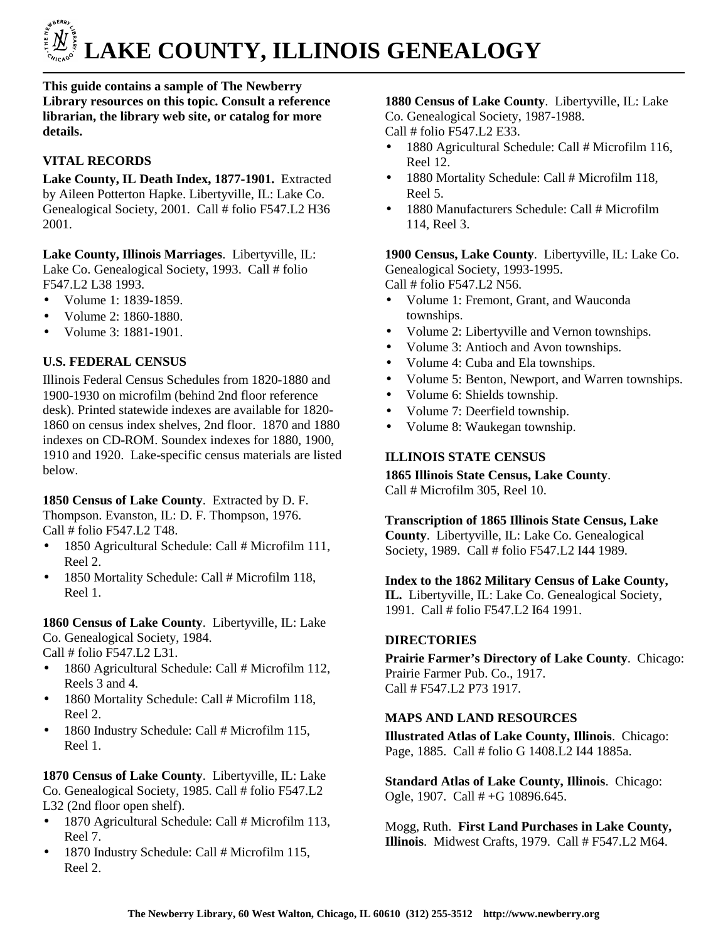

**This guide contains a sample of The Newberry Library resources on this topic. Consult a reference librarian, the library web site, or catalog for more details.** 

# **VITAL RECORDS**

**Lake County, IL Death Index, 1877-1901.** Extracted by Aileen Potterton Hapke. Libertyville, IL: Lake Co. Genealogical Society, 2001. Call # folio F547.L2 H36 2001.

**Lake County, Illinois Marriages**. Libertyville, IL: Lake Co. Genealogical Society, 1993. Call # folio F547.L2 L38 1993.

- Volume 1: 1839-1859.
- Volume 2: 1860-1880.
- Volume 3: 1881-1901.

# **U.S. FEDERAL CENSUS**

Illinois Federal Census Schedules from 1820-1880 and 1900-1930 on microfilm (behind 2nd floor reference desk). Printed statewide indexes are available for 1820- 1860 on census index shelves, 2nd floor. 1870 and 1880 indexes on CD-ROM. Soundex indexes for 1880, 1900, 1910 and 1920. Lake-specific census materials are listed below.

**1850 Census of Lake County**. Extracted by D. F. Thompson. Evanston, IL: D. F. Thompson, 1976. Call # folio F547.L2 T48.

- 1850 Agricultural Schedule: Call # Microfilm 111, Reel 2.
- 1850 Mortality Schedule: Call # Microfilm 118, Reel 1.

**1860 Census of Lake County**. Libertyville, IL: Lake Co. Genealogical Society, 1984.

Call # folio F547.L2 L31.

- 1860 Agricultural Schedule: Call # Microfilm 112, Reels 3 and 4.
- 1860 Mortality Schedule: Call # Microfilm 118, Reel 2.
- 1860 Industry Schedule: Call # Microfilm 115, Reel 1.

**1870 Census of Lake County**. Libertyville, IL: Lake Co. Genealogical Society, 1985. Call # folio F547.L2 L32 (2nd floor open shelf).

- 1870 Agricultural Schedule: Call # Microfilm 113, Reel 7.
- 1870 Industry Schedule: Call # Microfilm 115, Reel 2.

### **1880 Census of Lake County**. Libertyville, IL: Lake Co. Genealogical Society, 1987-1988. Call # folio F547.L2 E33.

- 1880 Agricultural Schedule: Call # Microfilm 116, Reel 12.
- 1880 Mortality Schedule: Call # Microfilm 118, Reel 5.
- 1880 Manufacturers Schedule: Call # Microfilm 114, Reel 3.

**1900 Census, Lake County**. Libertyville, IL: Lake Co. Genealogical Society, 1993-1995.

Call # folio F547.L2 N56.

- Volume 1: Fremont, Grant, and Wauconda townships.
- Volume 2: Libertyville and Vernon townships.
- Volume 3: Antioch and Avon townships.
- Volume 4: Cuba and Ela townships.
- Volume 5: Benton, Newport, and Warren townships.
- Volume 6: Shields township.
- Volume 7: Deerfield township.
- Volume 8: Waukegan township.

### **ILLINOIS STATE CENSUS**

**1865 Illinois State Census, Lake County**. Call # Microfilm 305, Reel 10.

**Transcription of 1865 Illinois State Census, Lake County**. Libertyville, IL: Lake Co. Genealogical Society, 1989. Call # folio F547.L2 I44 1989.

**Index to the 1862 Military Census of Lake County, IL.** Libertyville, IL: Lake Co. Genealogical Society, 1991. Call # folio F547.L2 I64 1991.

# **DIRECTORIES**

**Prairie Farmer's Directory of Lake County**. Chicago: Prairie Farmer Pub. Co., 1917. Call # F547.L2 P73 1917.

# **MAPS AND LAND RESOURCES**

**Illustrated Atlas of Lake County, Illinois**. Chicago: Page, 1885. Call # folio G 1408.L2 I44 1885a.

**Standard Atlas of Lake County, Illinois**. Chicago: Ogle, 1907. Call # +G 10896.645.

Mogg, Ruth. **First Land Purchases in Lake County, Illinois**. Midwest Crafts, 1979. Call # F547.L2 M64.